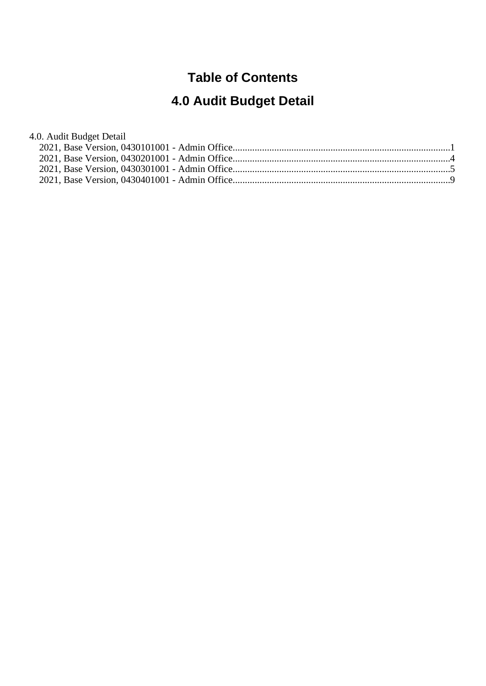#### **Table of Contents**

# **4.0 Audit Budget Detail**

#### 4.0. Audit Budget Detail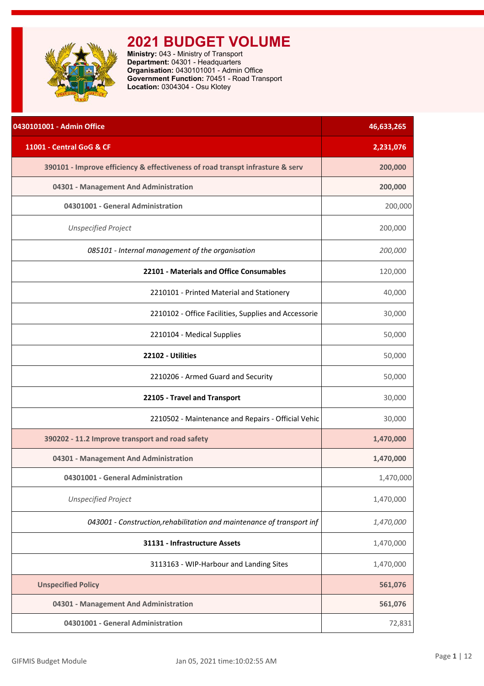<span id="page-1-0"></span>

| 0430101001 - Admin Office                                                     | 46,633,265 |
|-------------------------------------------------------------------------------|------------|
| 11001 - Central GoG & CF                                                      | 2,231,076  |
| 390101 - Improve efficiency & effectiveness of road transpt infrasture & serv | 200,000    |
| 04301 - Management And Administration                                         | 200,000    |
| 04301001 - General Administration                                             | 200,000    |
| <b>Unspecified Project</b>                                                    | 200,000    |
| 085101 - Internal management of the organisation                              | 200,000    |
| 22101 - Materials and Office Consumables                                      | 120,000    |
| 2210101 - Printed Material and Stationery                                     | 40,000     |
| 2210102 - Office Facilities, Supplies and Accessorie                          | 30,000     |
| 2210104 - Medical Supplies                                                    | 50,000     |
| 22102 - Utilities                                                             | 50,000     |
| 2210206 - Armed Guard and Security                                            | 50,000     |
| 22105 - Travel and Transport                                                  | 30,000     |
| 2210502 - Maintenance and Repairs - Official Vehic                            | 30,000     |
| 390202 - 11.2 Improve transport and road safety                               | 1,470,000  |
| 04301 - Management And Administration                                         | 1,470,000  |
| 04301001 - General Administration                                             | 1,470,000  |
| <b>Unspecified Project</b>                                                    | 1,470,000  |
| 043001 - Construction, rehabilitation and maintenance of transport inf        | 1,470,000  |
| 31131 - Infrastructure Assets                                                 | 1,470,000  |
| 3113163 - WIP-Harbour and Landing Sites                                       | 1,470,000  |
| <b>Unspecified Policy</b>                                                     | 561,076    |
| 04301 - Management And Administration                                         | 561,076    |
| 04301001 - General Administration                                             | 72,831     |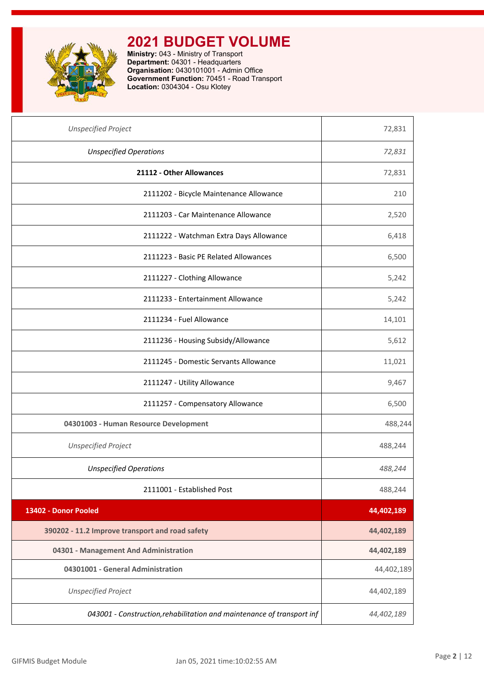

| <b>Unspecified Project</b>                                             | 72,831     |
|------------------------------------------------------------------------|------------|
| <b>Unspecified Operations</b>                                          | 72,831     |
| 21112 - Other Allowances                                               | 72,831     |
| 2111202 - Bicycle Maintenance Allowance                                | 210        |
| 2111203 - Car Maintenance Allowance                                    | 2,520      |
| 2111222 - Watchman Extra Days Allowance                                | 6,418      |
| 2111223 - Basic PE Related Allowances                                  | 6,500      |
| 2111227 - Clothing Allowance                                           | 5,242      |
| 2111233 - Entertainment Allowance                                      | 5,242      |
| 2111234 - Fuel Allowance                                               | 14,101     |
| 2111236 - Housing Subsidy/Allowance                                    | 5,612      |
| 2111245 - Domestic Servants Allowance                                  | 11,021     |
| 2111247 - Utility Allowance                                            | 9,467      |
| 2111257 - Compensatory Allowance                                       | 6,500      |
| 04301003 - Human Resource Development                                  | 488,244    |
| <b>Unspecified Project</b>                                             | 488,244    |
| <b>Unspecified Operations</b>                                          | 488,244    |
| 2111001 - Established Post                                             | 488,244    |
| 13402 - Donor Pooled                                                   | 44,402,189 |
| 390202 - 11.2 Improve transport and road safety                        | 44,402,189 |
| 04301 - Management And Administration                                  | 44,402,189 |
| 04301001 - General Administration                                      | 44,402,189 |
| <b>Unspecified Project</b>                                             | 44,402,189 |
| 043001 - Construction, rehabilitation and maintenance of transport inf | 44,402,189 |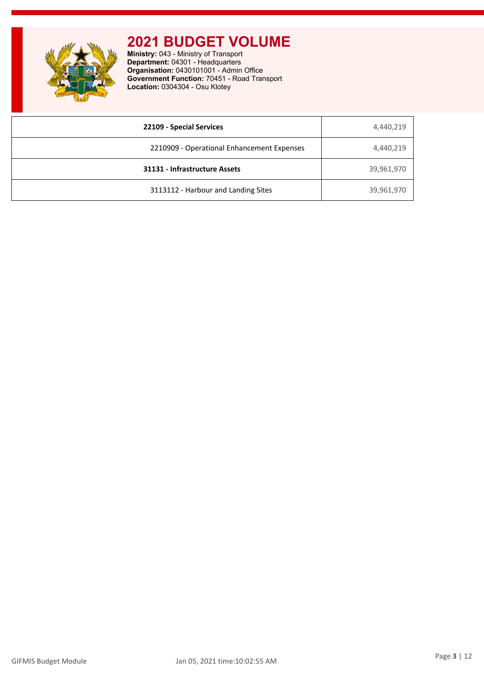

| 22109 - Special Services                   | 4,440,219  |
|--------------------------------------------|------------|
| 2210909 - Operational Enhancement Expenses | 4,440,219  |
| 31131 - Infrastructure Assets              | 39,961,970 |
| 3113112 - Harbour and Landing Sites        | 39,961,970 |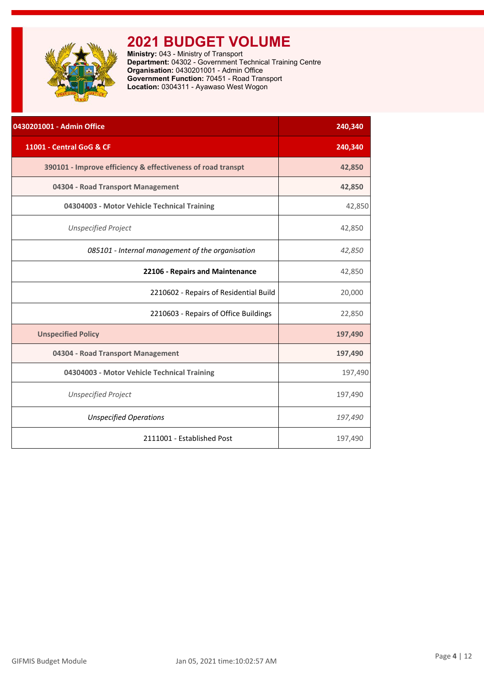<span id="page-4-0"></span>

**Ministry:** 043 - Ministry of Transport **Department:** 04302 - Government Technical Training Centre **Organisation:** 0430201001 - Admin Office **Government Function:** 70451 - Road Transport **Location:** 0304311 - Ayawaso West Wogon

| 0430201001 - Admin Office                                   | 240,340 |
|-------------------------------------------------------------|---------|
| 11001 - Central GoG & CF                                    | 240,340 |
| 390101 - Improve efficiency & effectiveness of road transpt | 42,850  |
| 04304 - Road Transport Management                           | 42,850  |
| 04304003 - Motor Vehicle Technical Training                 | 42,850  |
| <b>Unspecified Project</b>                                  | 42,850  |
| 085101 - Internal management of the organisation            | 42,850  |
| 22106 - Repairs and Maintenance                             | 42,850  |
| 2210602 - Repairs of Residential Build                      | 20,000  |
| 2210603 - Repairs of Office Buildings                       | 22,850  |
| <b>Unspecified Policy</b>                                   | 197,490 |
| 04304 - Road Transport Management                           | 197,490 |
| 04304003 - Motor Vehicle Technical Training                 | 197,490 |
| <b>Unspecified Project</b>                                  | 197,490 |
| <b>Unspecified Operations</b>                               | 197,490 |
| 2111001 - Established Post                                  | 197,490 |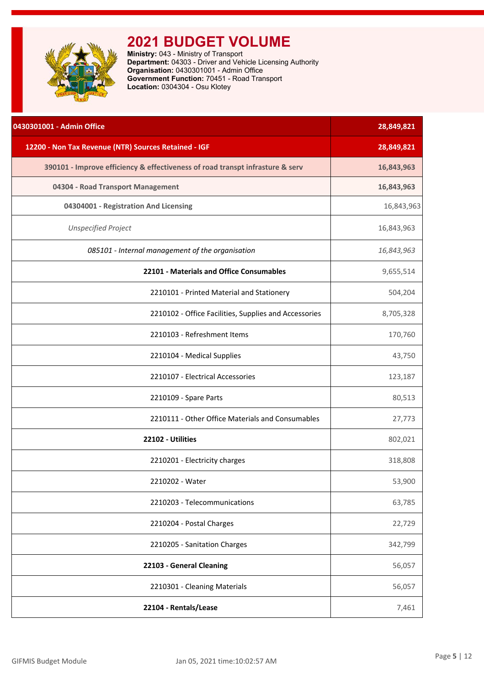<span id="page-5-0"></span>

| 0430301001 - Admin Office                                                     | 28,849,821 |
|-------------------------------------------------------------------------------|------------|
| 12200 - Non Tax Revenue (NTR) Sources Retained - IGF                          | 28,849,821 |
| 390101 - Improve efficiency & effectiveness of road transpt infrasture & serv | 16,843,963 |
| 04304 - Road Transport Management                                             | 16,843,963 |
| 04304001 - Registration And Licensing                                         | 16,843,963 |
| <b>Unspecified Project</b>                                                    | 16,843,963 |
| 085101 - Internal management of the organisation                              | 16,843,963 |
| 22101 - Materials and Office Consumables                                      | 9,655,514  |
| 2210101 - Printed Material and Stationery                                     | 504,204    |
| 2210102 - Office Facilities, Supplies and Accessories                         | 8,705,328  |
| 2210103 - Refreshment Items                                                   | 170,760    |
| 2210104 - Medical Supplies                                                    | 43,750     |
| 2210107 - Electrical Accessories                                              | 123,187    |
| 2210109 - Spare Parts                                                         | 80,513     |
| 2210111 - Other Office Materials and Consumables                              | 27,773     |
| 22102 - Utilities                                                             | 802,021    |
| 2210201 - Electricity charges                                                 | 318,808    |
| 2210202 - Water                                                               | 53,900     |
| 2210203 - Telecommunications                                                  | 63,785     |
| 2210204 - Postal Charges                                                      | 22,729     |
| 2210205 - Sanitation Charges                                                  | 342,799    |
| 22103 - General Cleaning                                                      | 56,057     |
| 2210301 - Cleaning Materials                                                  | 56,057     |
| 22104 - Rentals/Lease                                                         | 7,461      |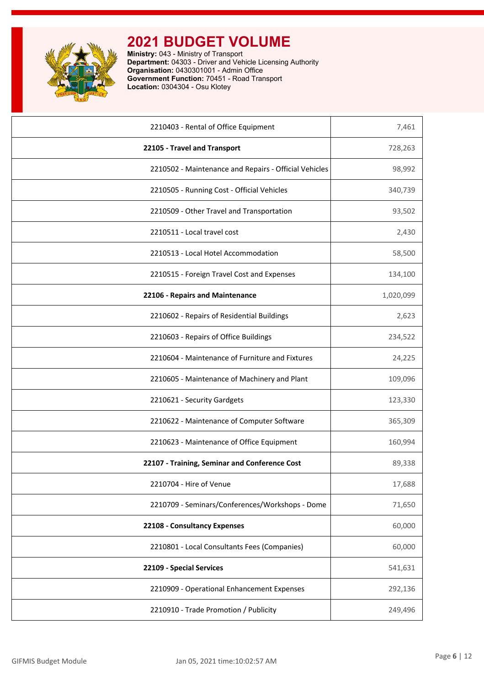

| 2210403 - Rental of Office Equipment                  | 7,461     |
|-------------------------------------------------------|-----------|
| 22105 - Travel and Transport                          | 728,263   |
| 2210502 - Maintenance and Repairs - Official Vehicles | 98,992    |
| 2210505 - Running Cost - Official Vehicles            | 340,739   |
| 2210509 - Other Travel and Transportation             | 93,502    |
| 2210511 - Local travel cost                           | 2,430     |
| 2210513 - Local Hotel Accommodation                   | 58,500    |
| 2210515 - Foreign Travel Cost and Expenses            | 134,100   |
| 22106 - Repairs and Maintenance                       | 1,020,099 |
| 2210602 - Repairs of Residential Buildings            | 2,623     |
| 2210603 - Repairs of Office Buildings                 | 234,522   |
| 2210604 - Maintenance of Furniture and Fixtures       | 24,225    |
| 2210605 - Maintenance of Machinery and Plant          | 109,096   |
| 2210621 - Security Gardgets                           | 123,330   |
| 2210622 - Maintenance of Computer Software            | 365,309   |
| 2210623 - Maintenance of Office Equipment             | 160,994   |
| 22107 - Training, Seminar and Conference Cost         | 89,338    |
| 2210704 - Hire of Venue                               | 17,688    |
| 2210709 - Seminars/Conferences/Workshops - Dome       | 71,650    |
| 22108 - Consultancy Expenses                          | 60,000    |
| 2210801 - Local Consultants Fees (Companies)          | 60,000    |
| 22109 - Special Services                              | 541,631   |
| 2210909 - Operational Enhancement Expenses            | 292,136   |
| 2210910 - Trade Promotion / Publicity                 | 249,496   |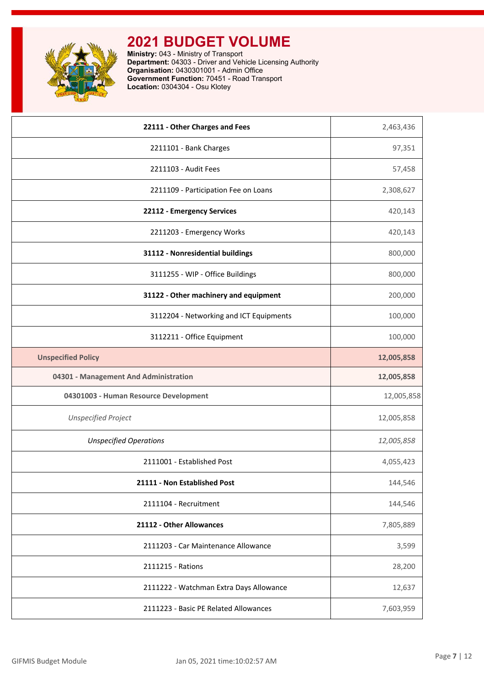

| 22111 - Other Charges and Fees<br>2,463,436<br>97,351<br>2211101 - Bank Charges<br>2211103 - Audit Fees<br>57,458<br>2211109 - Participation Fee on Loans<br>2,308,627<br>22112 - Emergency Services<br>420,143<br>420,143<br>2211203 - Emergency Works<br>31112 - Nonresidential buildings<br>800,000<br>3111255 - WIP - Office Buildings<br>800,000<br>31122 - Other machinery and equipment<br>200,000<br>3112204 - Networking and ICT Equipments<br>100,000<br>3112211 - Office Equipment<br>100,000<br><b>Unspecified Policy</b><br>12,005,858<br>04301 - Management And Administration<br>12,005,858<br>04301003 - Human Resource Development<br>12,005,858<br><b>Unspecified Project</b><br>12,005,858<br><b>Unspecified Operations</b><br>12,005,858<br>2111001 - Established Post<br>4,055,423<br>21111 - Non Established Post<br>144,546<br>2111104 - Recruitment<br>144,546<br>21112 - Other Allowances<br>7,805,889<br>2111203 - Car Maintenance Allowance<br>3,599<br>2111215 - Rations<br>28,200<br>2111222 - Watchman Extra Days Allowance<br>12,637<br>2111223 - Basic PE Related Allowances<br>7,603,959 |  |
|---------------------------------------------------------------------------------------------------------------------------------------------------------------------------------------------------------------------------------------------------------------------------------------------------------------------------------------------------------------------------------------------------------------------------------------------------------------------------------------------------------------------------------------------------------------------------------------------------------------------------------------------------------------------------------------------------------------------------------------------------------------------------------------------------------------------------------------------------------------------------------------------------------------------------------------------------------------------------------------------------------------------------------------------------------------------------------------------------------------------------|--|
|                                                                                                                                                                                                                                                                                                                                                                                                                                                                                                                                                                                                                                                                                                                                                                                                                                                                                                                                                                                                                                                                                                                           |  |
|                                                                                                                                                                                                                                                                                                                                                                                                                                                                                                                                                                                                                                                                                                                                                                                                                                                                                                                                                                                                                                                                                                                           |  |
|                                                                                                                                                                                                                                                                                                                                                                                                                                                                                                                                                                                                                                                                                                                                                                                                                                                                                                                                                                                                                                                                                                                           |  |
|                                                                                                                                                                                                                                                                                                                                                                                                                                                                                                                                                                                                                                                                                                                                                                                                                                                                                                                                                                                                                                                                                                                           |  |
|                                                                                                                                                                                                                                                                                                                                                                                                                                                                                                                                                                                                                                                                                                                                                                                                                                                                                                                                                                                                                                                                                                                           |  |
|                                                                                                                                                                                                                                                                                                                                                                                                                                                                                                                                                                                                                                                                                                                                                                                                                                                                                                                                                                                                                                                                                                                           |  |
|                                                                                                                                                                                                                                                                                                                                                                                                                                                                                                                                                                                                                                                                                                                                                                                                                                                                                                                                                                                                                                                                                                                           |  |
|                                                                                                                                                                                                                                                                                                                                                                                                                                                                                                                                                                                                                                                                                                                                                                                                                                                                                                                                                                                                                                                                                                                           |  |
|                                                                                                                                                                                                                                                                                                                                                                                                                                                                                                                                                                                                                                                                                                                                                                                                                                                                                                                                                                                                                                                                                                                           |  |
|                                                                                                                                                                                                                                                                                                                                                                                                                                                                                                                                                                                                                                                                                                                                                                                                                                                                                                                                                                                                                                                                                                                           |  |
|                                                                                                                                                                                                                                                                                                                                                                                                                                                                                                                                                                                                                                                                                                                                                                                                                                                                                                                                                                                                                                                                                                                           |  |
|                                                                                                                                                                                                                                                                                                                                                                                                                                                                                                                                                                                                                                                                                                                                                                                                                                                                                                                                                                                                                                                                                                                           |  |
|                                                                                                                                                                                                                                                                                                                                                                                                                                                                                                                                                                                                                                                                                                                                                                                                                                                                                                                                                                                                                                                                                                                           |  |
|                                                                                                                                                                                                                                                                                                                                                                                                                                                                                                                                                                                                                                                                                                                                                                                                                                                                                                                                                                                                                                                                                                                           |  |
|                                                                                                                                                                                                                                                                                                                                                                                                                                                                                                                                                                                                                                                                                                                                                                                                                                                                                                                                                                                                                                                                                                                           |  |
|                                                                                                                                                                                                                                                                                                                                                                                                                                                                                                                                                                                                                                                                                                                                                                                                                                                                                                                                                                                                                                                                                                                           |  |
|                                                                                                                                                                                                                                                                                                                                                                                                                                                                                                                                                                                                                                                                                                                                                                                                                                                                                                                                                                                                                                                                                                                           |  |
|                                                                                                                                                                                                                                                                                                                                                                                                                                                                                                                                                                                                                                                                                                                                                                                                                                                                                                                                                                                                                                                                                                                           |  |
|                                                                                                                                                                                                                                                                                                                                                                                                                                                                                                                                                                                                                                                                                                                                                                                                                                                                                                                                                                                                                                                                                                                           |  |
|                                                                                                                                                                                                                                                                                                                                                                                                                                                                                                                                                                                                                                                                                                                                                                                                                                                                                                                                                                                                                                                                                                                           |  |
|                                                                                                                                                                                                                                                                                                                                                                                                                                                                                                                                                                                                                                                                                                                                                                                                                                                                                                                                                                                                                                                                                                                           |  |
|                                                                                                                                                                                                                                                                                                                                                                                                                                                                                                                                                                                                                                                                                                                                                                                                                                                                                                                                                                                                                                                                                                                           |  |
|                                                                                                                                                                                                                                                                                                                                                                                                                                                                                                                                                                                                                                                                                                                                                                                                                                                                                                                                                                                                                                                                                                                           |  |
|                                                                                                                                                                                                                                                                                                                                                                                                                                                                                                                                                                                                                                                                                                                                                                                                                                                                                                                                                                                                                                                                                                                           |  |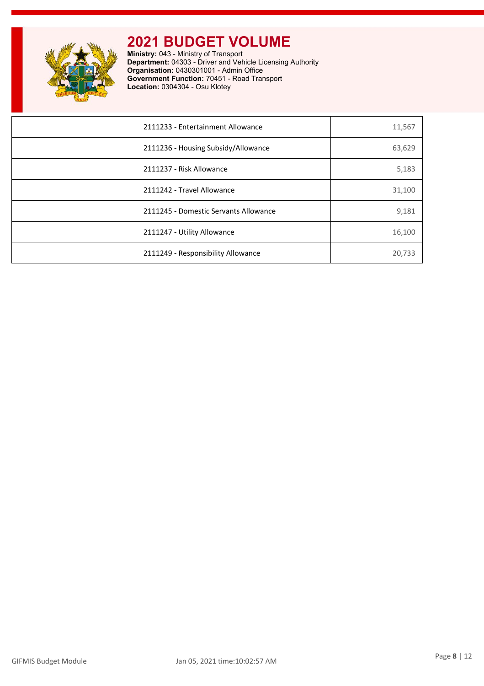

| 2111233 - Entertainment Allowance     | 11,567 |
|---------------------------------------|--------|
| 2111236 - Housing Subsidy/Allowance   | 63,629 |
| 2111237 - Risk Allowance              | 5,183  |
| 2111242 - Travel Allowance            | 31,100 |
| 2111245 - Domestic Servants Allowance | 9,181  |
| 2111247 - Utility Allowance           | 16,100 |
| 2111249 - Responsibility Allowance    | 20,733 |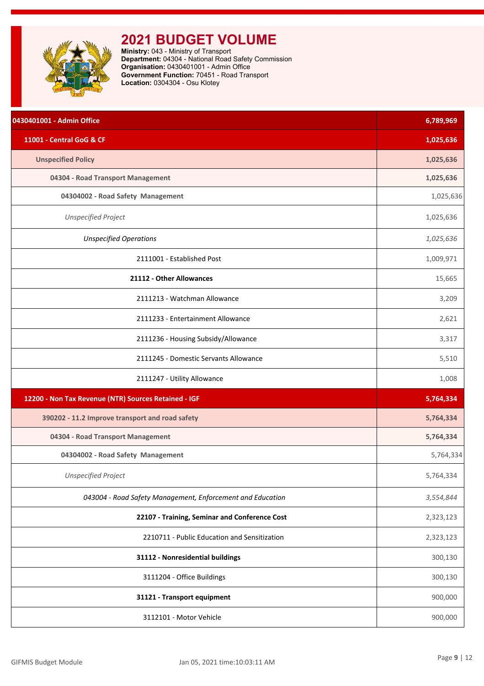<span id="page-9-0"></span>

| 0430401001 - Admin Office                                  | 6,789,969 |
|------------------------------------------------------------|-----------|
| 11001 - Central GoG & CF                                   | 1,025,636 |
| <b>Unspecified Policy</b>                                  | 1,025,636 |
| 04304 - Road Transport Management                          | 1,025,636 |
| 04304002 - Road Safety Management                          | 1,025,636 |
| <b>Unspecified Project</b>                                 | 1,025,636 |
| <b>Unspecified Operations</b>                              | 1,025,636 |
| 2111001 - Established Post                                 | 1,009,971 |
| 21112 - Other Allowances                                   | 15,665    |
| 2111213 - Watchman Allowance                               | 3,209     |
| 2111233 - Entertainment Allowance                          | 2,621     |
| 2111236 - Housing Subsidy/Allowance                        | 3,317     |
| 2111245 - Domestic Servants Allowance                      | 5,510     |
| 2111247 - Utility Allowance                                | 1,008     |
| 12200 - Non Tax Revenue (NTR) Sources Retained - IGF       | 5,764,334 |
| 390202 - 11.2 Improve transport and road safety            | 5,764,334 |
| 04304 - Road Transport Management                          | 5,764,334 |
| 04304002 - Road Safety Management                          | 5,764,334 |
| <b>Unspecified Project</b>                                 | 5,764,334 |
| 043004 - Road Safety Management, Enforcement and Education | 3,554,844 |
| 22107 - Training, Seminar and Conference Cost              | 2,323,123 |
| 2210711 - Public Education and Sensitization               | 2,323,123 |
| 31112 - Nonresidential buildings                           | 300,130   |
| 3111204 - Office Buildings                                 | 300,130   |
| 31121 - Transport equipment                                | 900,000   |
| 3112101 - Motor Vehicle                                    | 900,000   |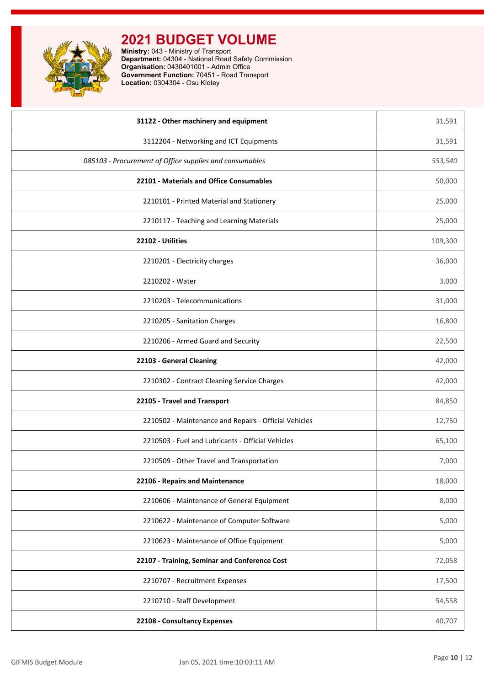

| 31122 - Other machinery and equipment                   | 31,591  |
|---------------------------------------------------------|---------|
| 3112204 - Networking and ICT Equipments                 | 31,591  |
| 085103 - Procurement of Office supplies and consumables | 553,540 |
| 22101 - Materials and Office Consumables                | 50,000  |
| 2210101 - Printed Material and Stationery               | 25,000  |
| 2210117 - Teaching and Learning Materials               | 25,000  |
| 22102 - Utilities                                       | 109,300 |
| 2210201 - Electricity charges                           | 36,000  |
| 2210202 - Water                                         | 3,000   |
| 2210203 - Telecommunications                            | 31,000  |
| 2210205 - Sanitation Charges                            | 16,800  |
| 2210206 - Armed Guard and Security                      | 22,500  |
| 22103 - General Cleaning                                | 42,000  |
| 2210302 - Contract Cleaning Service Charges             | 42,000  |
| 22105 - Travel and Transport                            | 84,850  |
| 2210502 - Maintenance and Repairs - Official Vehicles   | 12,750  |
| 2210503 - Fuel and Lubricants - Official Vehicles       | 65,100  |
| 2210509 - Other Travel and Transportation               | 7,000   |
| 22106 - Repairs and Maintenance                         | 18,000  |
| 2210606 - Maintenance of General Equipment              | 8,000   |
| 2210622 - Maintenance of Computer Software              | 5,000   |
| 2210623 - Maintenance of Office Equipment               | 5,000   |
| 22107 - Training, Seminar and Conference Cost           | 72,058  |
| 2210707 - Recruitment Expenses                          | 17,500  |
| 2210710 - Staff Development                             | 54,558  |
| 22108 - Consultancy Expenses                            | 40,707  |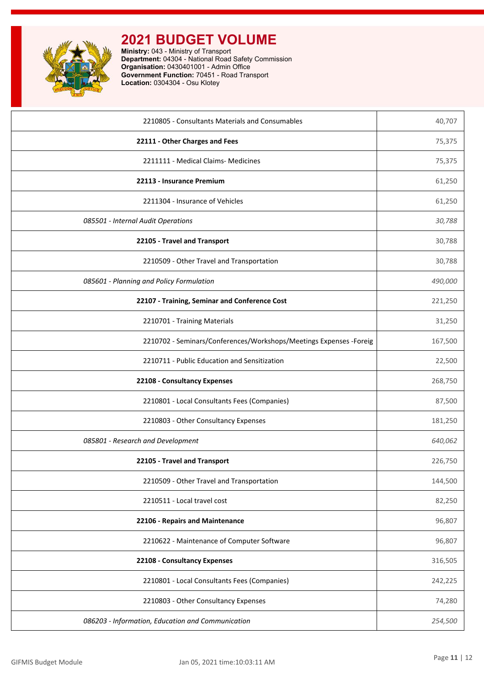

| 2210805 - Consultants Materials and Consumables                     | 40,707  |
|---------------------------------------------------------------------|---------|
| 22111 - Other Charges and Fees                                      | 75,375  |
| 2211111 - Medical Claims- Medicines                                 | 75,375  |
| 22113 - Insurance Premium                                           | 61,250  |
| 2211304 - Insurance of Vehicles                                     | 61,250  |
| 085501 - Internal Audit Operations                                  | 30,788  |
| 22105 - Travel and Transport                                        | 30,788  |
| 2210509 - Other Travel and Transportation                           | 30,788  |
| 085601 - Planning and Policy Formulation                            | 490,000 |
| 22107 - Training, Seminar and Conference Cost                       | 221,250 |
| 2210701 - Training Materials                                        | 31,250  |
| 2210702 - Seminars/Conferences/Workshops/Meetings Expenses - Foreig | 167,500 |
| 2210711 - Public Education and Sensitization                        | 22,500  |
| 22108 - Consultancy Expenses                                        | 268,750 |
| 2210801 - Local Consultants Fees (Companies)                        | 87,500  |
| 2210803 - Other Consultancy Expenses                                | 181,250 |
| 085801 - Research and Development                                   | 640,062 |
| 22105 - Travel and Transport                                        | 226,750 |
| 2210509 - Other Travel and Transportation                           | 144,500 |
| 2210511 - Local travel cost                                         | 82,250  |
| 22106 - Repairs and Maintenance                                     | 96,807  |
| 2210622 - Maintenance of Computer Software                          | 96,807  |
| 22108 - Consultancy Expenses                                        | 316,505 |
| 2210801 - Local Consultants Fees (Companies)                        | 242,225 |
| 2210803 - Other Consultancy Expenses                                | 74,280  |
| 086203 - Information, Education and Communication                   | 254,500 |